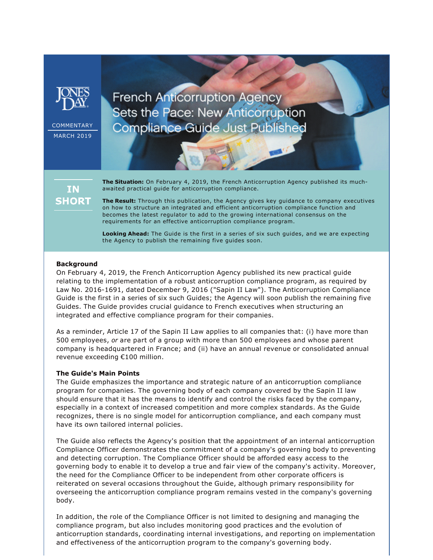

**COMMENTARY** MARCH 2019

**French Anticorruption Agency** Sets the Pace: New Anticorruption **Compliance Guide Just Published** 

# IN. **SHORT**

**The Situation:** On February 4, 2019, the French Anticorruption Agency published its muchawaited practical guide for anticorruption compliance.

**The Result:** Through this publication, the Agency gives key guidance to company executives on how to structure an integrated and efficient anticorruption compliance function and becomes the latest regulator to add to the growing international consensus on the requirements for an effective anticorruption compliance program.

**Looking Ahead:** The Guide is the first in a series of six such guides, and we are expecting the Agency to publish the remaining five guides soon.

### **Background**

On February 4, 2019, the French Anticorruption Agency published its new practical guide relating to the implementation of a robust anticorruption compliance program, as required by Law No. 2016-1691, dated December 9, 2016 ("Sapin II Law"). The Anticorruption Compliance Guide is the first in a series of six such Guides; the Agency will soon publish the remaining five Guides. The Guide provides crucial guidance to French executives when structuring an integrated and effective compliance program for their companies.

As a reminder, Article 17 of the Sapin II Law applies to all companies that: (i) have more than 500 employees, *or* are part of a group with more than 500 employees and whose parent company is headquartered in France; and (ii) have an annual revenue or consolidated annual revenue exceeding €100 million.

#### **The Guide's Main Points**

The Guide emphasizes the importance and strategic nature of an anticorruption compliance program for companies. The governing body of each company covered by the Sapin II law should ensure that it has the means to identify and control the risks faced by the company, especially in a context of increased competition and more complex standards. As the Guide recognizes, there is no single model for anticorruption compliance, and each company must have its own tailored internal policies.

The Guide also reflects the Agency's position that the appointment of an internal anticorruption Compliance Officer demonstrates the commitment of a company's governing body to preventing and detecting corruption. The Compliance Officer should be afforded easy access to the governing body to enable it to develop a true and fair view of the company's activity. Moreover, the need for the Compliance Officer to be independent from other corporate officers is reiterated on several occasions throughout the Guide, although primary responsibility for overseeing the anticorruption compliance program remains vested in the company's governing body.

In addition, the role of the Compliance Officer is not limited to designing and managing the compliance program, but also includes monitoring good practices and the evolution of anticorruption standards, coordinating internal investigations, and reporting on implementation and effectiveness of the anticorruption program to the company's governing body.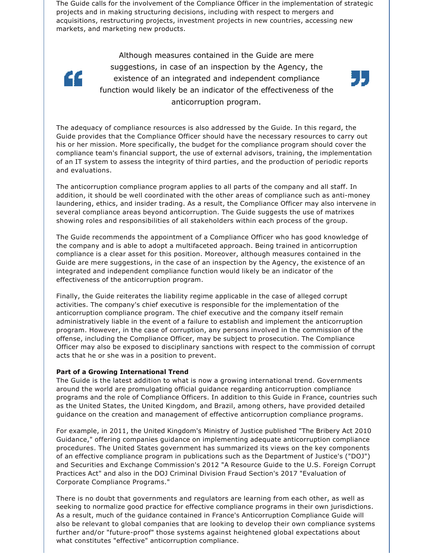The Guide calls for the involvement of the Compliance Officer in the implementation of strategic projects and in making structuring decisions, including with respect to mergers and acquisitions, restructuring projects, investment projects in new countries, accessing new markets, and marketing new products.

> Although measures contained in the Guide are mere suggestions, in case of an inspection by the Agency, the existence of an integrated and independent compliance function would likely be an indicator of the effectiveness of the anticorruption program.



The adequacy of compliance resources is also addressed by the Guide. In this regard, the Guide provides that the Compliance Officer should have the necessary resources to carry out his or her mission. More specifically, the budget for the compliance program should cover the compliance team's financial support, the use of external advisors, training, the implementation of an IT system to assess the integrity of third parties, and the production of periodic reports and evaluations.

The anticorruption compliance program applies to all parts of the company and all staff. In addition, it should be well coordinated with the other areas of compliance such as anti-money laundering, ethics, and insider trading. As a result, the Compliance Officer may also intervene in several compliance areas beyond anticorruption. The Guide suggests the use of matrixes showing roles and responsibilities of all stakeholders within each process of the group.

The Guide recommends the appointment of a Compliance Officer who has good knowledge of the company and is able to adopt a multifaceted approach. Being trained in anticorruption compliance is a clear asset for this position. Moreover, although measures contained in the Guide are mere suggestions, in the case of an inspection by the Agency, the existence of an integrated and independent compliance function would likely be an indicator of the effectiveness of the anticorruption program.

Finally, the Guide reiterates the liability regime applicable in the case of alleged corrupt activities. The company's chief executive is responsible for the implementation of the anticorruption compliance program. The chief executive and the company itself remain administratively liable in the event of a failure to establish and implement the anticorruption program. However, in the case of corruption, any persons involved in the commission of the offense, including the Compliance Officer, may be subject to prosecution. The Compliance Officer may also be exposed to disciplinary sanctions with respect to the commission of corrupt acts that he or she was in a position to prevent.

#### **Part of a Growing International Trend**

"

The Guide is the latest addition to what is now a growing international trend. Governments around the world are promulgating official guidance regarding anticorruption compliance programs and the role of Compliance Officers. In addition to this Guide in France, countries such as the United States, the United Kingdom, and Brazil, among others, have provided detailed guidance on the creation and management of effective anticorruption compliance programs.

For example, in 2011, the United Kingdom's Ministry of Justice published "The Bribery Act 2010 Guidance," offering companies guidance on implementing adequate anticorruption compliance procedures. The United States government has summarized its views on the key components of an effective compliance program in publications such as the Department of Justice's ("DOJ") and Securities and Exchange Commission's 2012 "A Resource Guide to the U.S. Foreign Corrupt Practices Act" and also in the DOJ Criminal Division Fraud Section's 2017 "Evaluation of Corporate Compliance Programs."

There is no doubt that governments and regulators are learning from each other, as well as seeking to normalize good practice for effective compliance programs in their own jurisdictions. As a result, much of the guidance contained in France's Anticorruption Compliance Guide will also be relevant to global companies that are looking to develop their own compliance systems further and/or "future-proof" those systems against heightened global expectations about what constitutes "effective" anticorruption compliance.